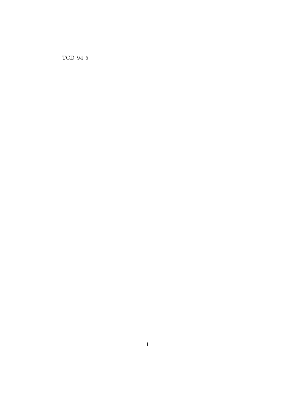### $TCD-94-5$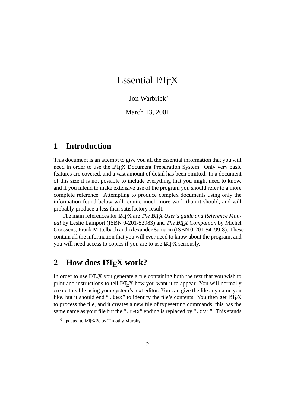# Essential LAT<sub>EX</sub>

### Jon Warbrick<sup>∗</sup>

March 13, 2001

# **1 Introduction**

This document is an attempt to give you all the essential information that you will need in order to use the LAT<sub>EX</sub> Document Preparation System. Only very basic features are covered, and a vast amount of detail has been omitted. In a document of this size it is not possible to include everything that you might need to know, and if you intend to make extensive use of the program you should refer to a more complete reference. Attempting to produce complex documents using only the information found below will require much more work than it should, and will probably produce a less than satisfactory result.

The main references for LAT<sub>E</sub>X are *The LATEX User's guide and Reference Manual* by Leslie Lamport (ISBN 0-201-52983) and *The ETEX Companion* by Michel Goossens, Frank Mittelbach and Alexander Samarin (ISBN 0-201-54199-8). These contain all the information that you will ever need to know about the program, and you will need access to copies if you are to use LAT<sub>EX</sub> seriously.

## 2 How does LAT<sub>E</sub>X work?

In order to use LAT<sub>EX</sub> you generate a file containing both the text that you wish to print and instructions to tell LATEX how you want it to appear. You will normally create this file using your system's text editor. You can give the file any name you like, but it should end ".tex" to identify the file's contents. You then get LATEX to process the file, and it creates a new file of typesetting commands; this has the same name as your file but the ".tex" ending is replaced by ".dvi". This stands

 $0$ Updated to L<sup>ST</sup>FX2e by Timothy Murphy.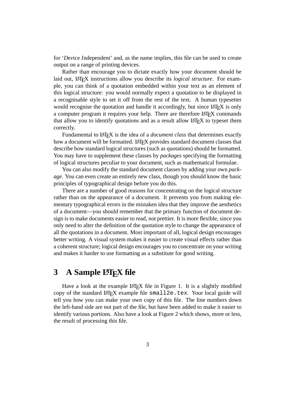for '*D*e*v*ice *I*ndependent' and, as the name implies, this file can be used to create output on a range of printing devices.

Rather than encourage you to dictate exactly how your document should be laid out, LAT<sub>E</sub>X instructions allow you describe its *logical structure*. For example, you can think of a quotation embedded within your text as an element of this logical structure: you would normally expect a quotation to be displayed in a recognisable style to set it off from the rest of the text. A human typesetter would recognise the quotation and handle it accordingly, but since LAT<sub>EX</sub> is only a computer program it requires your help. There are therefore LATEX commands that allow you to identify quotations and as a result allow LATEX to typeset them correctly.

Fundamental to LATEX is the idea of a *document class* that determines exactly how a document will be formatted. LAT<sub>EX</sub> provides standard document classes that describe how standard logical structures (such as quotations) should be formatted. You may have to supplement these classes by *packages* specifying the formatting of logical structures peculiar to your document, such as mathematical formulae.

You can also modify the standard document classes by adding your own *package*. You can even create an entirely new class, though you should know the basic principles of typographical design before you do this.

There are a number of good reasons for concentrating on the logical structure rather than on the appearance of a document. It prevents you from making elementary typographical errors in the mistaken idea that they improve the aesthetics of a document—you should remember that the primary function of document design is to make documents easier to read, not prettier. It is more flexible, since you only need to alter the definition of the quotation style to change the appearance of all the quotations in a document. Most important of all, logical design encourages better writing. A visual system makes it easier to create visual effects rather than a coherent structure; logical design encourages you to concentrate on your writing and makes it harder to use formatting as a substitute for good writing.

## **3** A Sample L<sub>P</sub>I<sub>E</sub>X file

Have a look at the example LAT<sub>E</sub>X file in Figure 1. It is a slightly modified copy of the standard LATEX example file small2e.tex. Your local guide will tell you how you can make your own copy of this file. The line numbers down the left-hand side are not part of the file, but have been added to make it easier to identify various portions. Also have a look at Figure 2 which shows, more or less, the result of processing this file.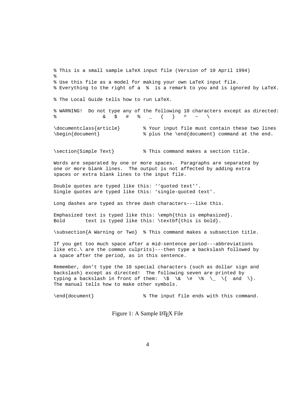% This is a small sample LaTeX input file (Version of 10 April 1994) % % Use this file as a model for making your own LaTeX input file. % Everything to the right of a % is a remark to you and is ignored by LaTeX. % The Local Guide tells how to run LaTeX. % WARNING! Do not type any of the following 10 characters except as directed:  $\begin{array}{ccccccccccccccccccccc} \text{\&} & & & & \text{\&} & & & \text{\&} & & & \text{\&} & & & \text{\&} & & & \text{\&} & & & \text{\&} & & & \text{\&} & & & \text{\&} & & & \text{\&} & & & \text{\&} & & & \text{\&} & & & \text{\&} & & & \text{\&} & & & \text{\&} & & & \text{\&} & & & \text{\&} & & & \text{\&} & & & \text{\&} & & & \text{\&} & & & \text{\&} & & & \text{\&} & & & \text{\&} & & & \text{\&} & & & \text{\&} & & & \text{\&} & &$ \documentclass{article} % Your input file must contain these two lines \begin{document} % plus the \end{document} command at the end. \section{Simple Text} % This command makes a section title. Words are separated by one or more spaces. Paragraphs are separated by one or more blank lines. The output is not affected by adding extra spaces or extra blank lines to the input file. Double quotes are typed like this: ''quoted text''. Single quotes are typed like this: 'single-quoted text'. Long dashes are typed as three dash characters---like this. Emphasized text is typed like this:  $\emptyset$  this is emphasized. Bold text is typed like this:  $\textbf{this is bold}.$ \subsection{A Warning or Two} % This command makes a subsection title. If you get too much space after a mid-sentence period---abbreviations like etc.\ are the common culprits)---then type a backslash followed by a space after the period, as in this sentence. Remember, don't type the 10 special characters (such as dollar sign and backslash) except as directed! The following seven are printed by typing a backslash in front of them:  $\% \ ( \ \| \ \)$  \\f and \\. The manual tells how to make other symbols. \end{document} % The input file ends with this command. Figure 1: A Sample LAT<sub>F</sub>X File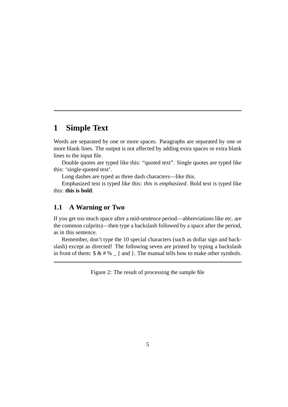# **1 Simple Text**

Words are separated by one or more spaces. Paragraphs are separated by one or more blank lines. The output is not affected by adding extra spaces or extra blank lines to the input file.

Double quotes are typed like this: "quoted text". Single quotes are typed like this: 'single-quoted text'.

Long dashes are typed as three dash characters—like this.

Emphasized text is typed like this: *this is emphasized*. Bold text is typed like this: **this is bold**.

#### **1.1 A Warning or Two**

If you get too much space after a mid-sentence period—abbreviations like etc. are the common culprits)—then type a backslash followed by a space after the period, as in this sentence.

Remember, don't type the 10 special characters (such as dollar sign and backslash) except as directed! The following seven are printed by typing a backslash in front of them:  $\& \& \# \%$  | { and }. The manual tells how to make other symbols.

Figure 2: The result of processing the sample file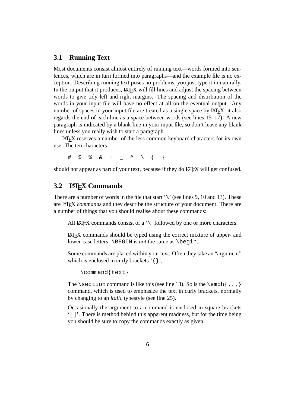#### **3.1 Running Text**

Most documents consist almost entirely of running text—words formed into sentences, which are in turn formed into paragraphs—and the example file is no exception. Describing running text poses no problems, you just type it in naturally. In the output that it produces, LAT<sub>E</sub>X will fill lines and adjust the spacing between words to give tidy left and right margins. The spacing and distribution of the words in your input file will have no effect at all on the eventual output. Any number of spaces in your input file are treated as a single space by LAT<sub>EX</sub>, it also regards the end of each line as a space between words (see lines 15–17). A new paragraph is indicated by a blank line in your input file, so don't leave any blank lines unless you really wish to start a paragraph.

LATEX reserves a number of the less common keyboard characters for its own use. The ten characters

# \$ % & ~ \_ ^ \ { }

should not appear as part of your text, because if they do LAT<sub>E</sub>X will get confused.

### 3.2 LAT<sub>E</sub>X Commands

There are a number of words in the file that start  $\sqrt{\ }$  (see lines 9, 10 and 13). These are LATEX *commands* and they describe the structure of your document. There are a number of things that you should realise about these commands:

All LATEX commands consist of a '\' followed by one or more characters.

LATEX commands should be typed using the correct mixture of upper- and lower-case letters. \BEGIN is *not* the same as \begin.

Some commands are placed within your text. Often they take an "argument" which is enclosed in curly brackets '{}',

```
\command{text}
```
The \section command is like this (see line 13). So is the \emph{...} command, which is used to emphasize the text in curly brackets, normally by changing to an *italic* typestyle (see line 25).

Occasionally the argument to a command is enclosed in square brackets '[]'. There is method behind this apparent madness, but for the time being you should be sure to copy the commands exactly as given.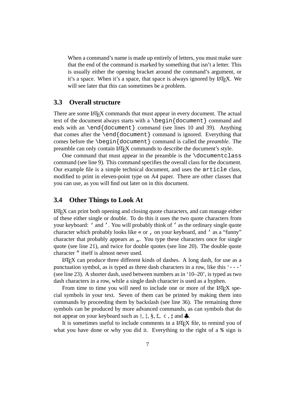When a command's name is made up entirely of letters, you must make sure that the end of the command is marked by something that isn't a letter. This is usually either the opening bracket around the command's argument, or it's a space. When it's a space, that space is always ignored by LAT<sub>EX</sub>. We will see later that this can sometimes be a problem.

#### **3.3 Overall structure**

There are some LATEX commands that must appear in every document. The actual text of the document always starts with a \begin{document} command and ends with an \end{document} command (see lines 10 and 39). Anything that comes after the  $\end{cal}$  document  $\}$  command is ignored. Everything that comes before the \begin{document} command is called the *preamble*. The preamble can only contain LAT<sub>EX</sub> commands to describe the document's style.

One command that must appear in the preamble is the \documentclass command (see line 9). This command specifies the overall class for the document. Our example file is a simple technical document, and uses the article class, modified to print in eleven-point type on A4 paper. There are other classes that you can use, as you will find out later on in this document.

#### **3.4 Other Things to Look At**

LATEX can print both opening and closing quote characters, and can manage either of these either single or double. To do this it uses the two quote characters from your keyboard: ' and '. You will probably think of ' as the ordinary single quote character which probably looks like « or , on your keyboard, and ' as a "funny" character that probably appears as  $\mu$ . You type these characters once for single quote (see line 21), and twice for double quotes (see line 20). The double quote character " itself is almost never used.

LATEX can produce three different kinds of dashes. A long dash, for use as a punctuation symbol, as is typed as three dash characters in a row, like this  $\prime$ ---' (see line 23). A shorter dash, used between numbers as in '10–20', is typed as two dash characters in a row, while a single dash character is used as a hyphen.

From time to time you will need to include one or more of the LAT<sub>EX</sub> special symbols in your text. Seven of them can be printed by making them into commands by proceeding them by backslash (see line 36). The remaining three symbols can be produced by more advanced commands, as can symbols that do not appear on your keyboard such as  $\dagger$ ,  $\dagger$ ,  $\S$ ,  $\pounds$ ,  $c$ ,  $\dagger$  and  $\clubsuit$ .

It is sometimes useful to include comments in a LAT<sub>E</sub>X file, to remind you of what you have done or why you did it. Everything to the right of a  $\frac{1}{2}$  sign is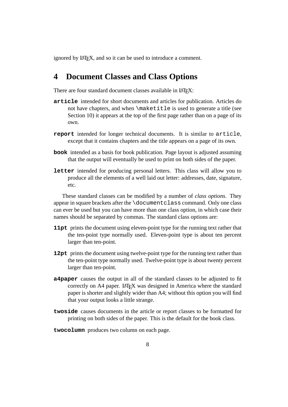ignored by LAT<sub>E</sub>X, and so it can be used to introduce a comment.

### **4 Document Classes and Class Options**

There are four standard document classes available in LAT<sub>EX</sub>:

- **article** intended for short documents and articles for publication. Articles do not have chapters, and when \maketitle is used to generate a title (see Section 10) it appears at the top of the first page rather than on a page of its own.
- **report** intended for longer technical documents. It is similar to article, except that it contains chapters and the title appears on a page of its own.
- **book** intended as a basis for book publication. Page layout is adjusted assuming that the output will eventually be used to print on both sides of the paper.
- **letter** intended for producing personal letters. This class will allow you to produce all the elements of a well laid out letter: addresses, date, signature, etc.

These standard classes can be modified by a number of *class options*. They appear in square brackets after the \documentclass command. Only one class can ever be used but you can have more than one class option, in which case their names should be separated by commas. The standard class options are:

- **11pt** prints the document using eleven-point type for the running text rather that the ten-point type normally used. Eleven-point type is about ten percent larger than ten-point.
- **12pt** prints the document using twelve-point type for the running text rather than the ten-point type normally used. Twelve-point type is about twenty percent larger than ten-point.
- **a4paper** causes the output in all of the standard classes to be adjusted to fit correctly on A4 paper. LAT<sub>EX</sub> was designed in America where the standard paper is shorter and slightly wider than A4; without this option you will find that your output looks a little strange.
- **twoside** causes documents in the article or report classes to be formatted for printing on both sides of the paper. This is the default for the book class.
- **twocolumn** produces two column on each page.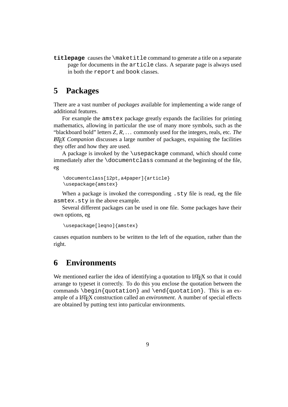**titlepage** causes the \maketitle command to generate a title on a separate page for documents in the article class. A separate page is always used in both the report and book classes.

# **5 Packages**

There are a vast number of *packages* available for implementing a wide range of additional features.

For example the amstex package greatly expands the facilities for printing mathematics, allowing in particular the use of many more symbols, such as the "blackboard bold" letters *Z*, *R*, . . . commonly used for the integers, reals, etc. *The LATEX Companion* discusses a large number of packages, expaining the facilities they offer and how they are used.

A package is invoked by the \usepackage command, which should come immediately after the \documentclass command at the beginning of the file, eg

```
\documentclass[12pt,a4paper]{article}
\usepackage{amstex}
```
When a package is invoked the corresponding .sty file is read, eg the file asmtex.sty in the above example.

Several different packages can be used in one file. Some packages have their own options, eg

\usepackage[leqno]{amstex}

causes equation numbers to be written to the left of the equation, rather than the right.

## **6 Environments**

We mentioned earlier the idea of identifying a quotation to LAT<sub>EX</sub> so that it could arrange to typeset it correctly. To do this you enclose the quotation between the commands \begin{quotation} and \end{quotation}. This is an example of a LATEX construction called an *environment*. A number of special effects are obtained by putting text into particular environments.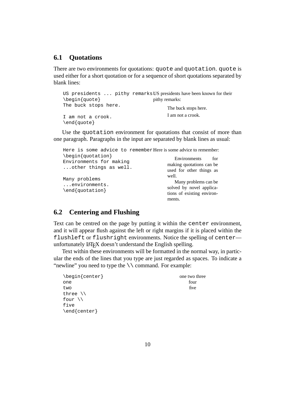### **6.1 Quotations**

There are two environments for quotations: quote and quotation. quote is used either for a short quotation or for a sequence of short quotations separated by blank lines:

```
US presidents ... pithy remarks US presidents have been known for their
\begin{quote}
The buck stops here.
I am not a crook.
\end{quote}
                                      pithy remarks:
                                            The buck stops here.
                                            I am not a crook.
```
Use the quotation environment for quotations that consist of more than one paragraph. Paragraphs in the input are separated by blank lines as usual:

```
Here is some advice to remember:
Here is some advice to remember:
\begin{quotation}
Environments for making
...other things as well.
Many problems
...environments.
\end{quotation}
                                              Environments for
                                           making quotations can be
                                           used for other things as
                                           well.
                                              Many problems can be
                                           solved by novel applica-
                                           tions of existing environ-
                                           ments.
```
### **6.2 Centering and Flushing**

Text can be centred on the page by putting it within the center environment, and it will appear flush against the left or right margins if it is placed within the flushleft or flushright environments. Notice the spelling of center unfortunately LATEX doesn't understand the English spelling.

Text within these environments will be formatted in the normal way, in particular the ends of the lines that you type are just regarded as spaces. To indicate a "newline" you need to type the \\ command. For example:

| \begin{center}   | one two three |
|------------------|---------------|
| one              | four          |
| two              | five          |
| three \\         |               |
| four $\setminus$ |               |
| five             |               |
| \end{center}     |               |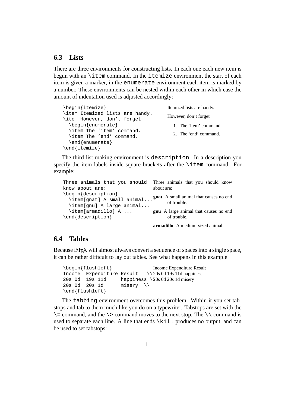### **6.3 Lists**

There are three environments for constructing lists. In each one each new item is begun with an \item command. In the itemize environment the start of each item is given a marker, in the enumerate environment each item is marked by a number. These environments can be nested within each other in which case the amount of indentation used is adjusted accordingly:

| \begin{itemize}                                                            | Itemized lists are handy.                       |
|----------------------------------------------------------------------------|-------------------------------------------------|
| \item Itemized lists are handy.<br>\item However, don't forget             | However, don't forget                           |
| \begin{enumerate}<br>\item The 'item' command.<br>\item The 'end' command. | 1. The 'item' command.<br>2. The 'end' command. |
| \end{enumerate}                                                            |                                                 |
| $\end{itemize}$                                                            |                                                 |

The third list making environment is description. In a description you specify the item labels inside square brackets after the \item command. For example:

```
Three animals that you should
know about are:
\begin{description}
  \item[gnat] A small animal...
  \item[gnu] A large animal...
  \item[armadillo] A ...
\end{description}
                                    Three animals that you should know
                                    about are:
                                    gnat A small animal that causes no end
                                          of trouble.
                                    gnu A large animal that causes no end
                                          of trouble.
```
**armadillo** A medium-sized animal.

#### **6.4 Tables**

Because LAT<sub>E</sub>X will almost always convert a sequence of spaces into a single space, it can be rather difficult to lay out tables. See what happens in this example

```
\begin{flushleft}
Income Expenditure Result \\
20s 0d 19s 11d
20s 0d 20s 1d misery \\
\end{flushleft}
                                    Income Expenditure Result
                                  \setminus 20s 0d 19s 11d happiness
                       happiness \sqrt{20s} 0d 20s 1d misery
```
The tabbing environment overcomes this problem. Within it you set tabstops and tab to them much like you do on a typewriter. Tabstops are set with the  $\setminus$  = command, and the  $\setminus$  command moves to the next stop. The  $\setminus \setminus$  command is used to separate each line. A line that ends \kill produces no output, and can be used to set tabstops: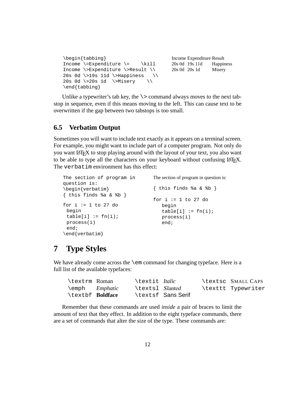```
\begin{tabbing}
Income \ensuremath{\text{equiv}} \starIncome \>Expenditure \>Result \\
20s 0d \>19s 11d \>Happiness \\
20s 0d \>20s 1d \>Misery \\
\end{tabbing}
```

```
Income Expenditure Result
20s 0d 19s 11d Happiness
20s 0d 20s 1d Misery
```
Unlike a typewriter's tab key, the  $\>$  command always moves to the next tabstop in sequence, even if this means moving to the left. This can cause text to be overwritten if the gap between two tabstops is too small.

### **6.5 Verbatim Output**

Sometimes you will want to include text exactly as it appears on a terminal screen. For example, you might want to include part of a computer program. Not only do you want LATEX to stop playing around with the layout of your text, you also want to be able to type all the characters on your keyboard without confusing LATEX. The verbatim environment has this effect:

```
The section of program in
question is:
\begin{verbatim}
\{ this finds a \& bfor i := 1 to 27 do
 begin
 table[i] := fn(i);process(i)
 end;
\end{verbatim}
                                 The section of program in question is:
                                 { this finds %a & %b }
                                 for i := 1 to 27 do
                                    begin
                                    table[i] := fn(i);process(i)
                                    end;
```
## **7 Type Styles**

We have already come across the \em command for changing typeface. Here is a full list of the available typefaces:

| \textrm Roman           | \textit Italic  |                           | \textsc SMALL CAPS |
|-------------------------|-----------------|---------------------------|--------------------|
| emph <i>Emphatic</i>    | \textsl Slanted |                           | \texttt Typewriter |
| \textbf <b>Boldface</b> |                 | <b>\textsf Sans Serif</b> |                    |

Remember that these commands are used *inside* a pair of braces to limit the amount of text that they effect. In addition to the eight typeface commands, there are a set of commands that alter the size of the type. These commands are: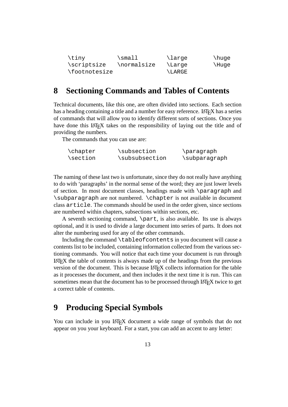| \tiny                | \small      | \large | \huge |
|----------------------|-------------|--------|-------|
| \scriptsize          | \normalsize | \Larqe | \Huge |
| <i>\footnotesize</i> |             | \LARGE |       |

# **8 Sectioning Commands and Tables of Contents**

Technical documents, like this one, are often divided into sections. Each section has a heading containing a title and a number for easy reference. LAT<sub>EX</sub> has a series of commands that will allow you to identify different sorts of sections. Once you have done this LAT<sub>EX</sub> takes on the responsibility of laying out the title and of providing the numbers.

The commands that you can use are:

| \chapter | \subsection    | \paragraph    |
|----------|----------------|---------------|
| \section | \subsubsection | \subparagraph |

The naming of these last two is unfortunate, since they do not really have anything to do with 'paragraphs' in the normal sense of the word; they are just lower levels of section. In most document classes, headings made with \paragraph and \subparagraph are not numbered. \chapter is not available in document class article. The commands should be used in the order given, since sections are numbered within chapters, subsections within sections, etc.

A seventh sectioning command, \part, is also available. Its use is always optional, and it is used to divide a large document into series of parts. It does not alter the numbering used for any of the other commands.

Including the command \tableofcontents in you document will cause a contents list to be included, containing information collected from the various sectioning commands. You will notice that each time your document is run through  $\Delta E$ <sub>EX</sub> the table of contents is always made up of the headings from the previous version of the document. This is because LAT<sub>EX</sub> collects information for the table as it processes the document, and then includes it the next time it is run. This can sometimes mean that the document has to be processed through LAT<sub>EX</sub> twice to get a correct table of contents.

## **9 Producing Special Symbols**

You can include in you LAT<sub>EX</sub> document a wide range of symbols that do not appear on you your keyboard. For a start, you can add an accent to any letter: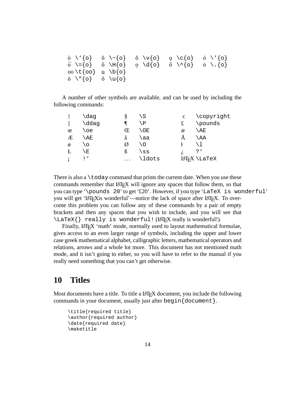ò \'{o} õ \~{o} oˇ \v{o} ¸o \c{o} ó \'{o}  $\bar{\sigma}$  \={o}  $\tilde{\sigma}$  \H{o} o๋ \d{o} ô \^{o} o໋ \.{o}  $\texttt{do} \setminus \texttt{oo}$   $\texttt{o} \setminus \texttt{b}$   $\texttt{o}$  $\delta \ \{u\}$  $\ddot{o}$  \" $\{o\}$ 

A number of other symbols are available, and can be used by including the following commands:

|   | dag)              |   | ۰S    | $\mathbf c$ | \copyright  |
|---|-------------------|---|-------|-------------|-------------|
|   | <sub>\</sub> ddag |   | . P   |             | \pounds     |
| œ | oe                | Œ | OE    | æ           | <b>AE</b>   |
| Æ | <b>AE</b>         | å | aa,   |             | <b>AA</b>   |
| Ø | O)                | Ø |       |             |             |
|   | Ε.                | ß | SS    | ι,          | ، ڊ         |
|   |                   | . | ldots |             | ИГдХ \LaTeX |

There is also a  $\text{coday}$  command that prints the current date. When you use these commands remember that LAT<sub>EX</sub> will ignore any spaces that follow them, so that you can type '\pounds 20' to get '£20'. However, if you type 'LaTeX is wonderful' you will get 'LAT<sub>EX</sub>Xis wonderful'—notice the lack of space after LAT<sub>EX</sub>. To overcome this problem you can follow any of these commands by a pair of empty brackets and then any spaces that you wish to include, and you will see that \LaTeX{} really is wonderful! (LATEX really is wonderful!).

Finally, LATEX 'math' mode, normally used to layout mathematical formulae, gives access to an even larger range of symbols, including the upper and lower case greek mathematical alphabet, calligraphic letters, mathematical operators and relations, arrows and a whole lot more. This document has not mentioned math mode, and it isn't going to either, so you will have to refer to the manual if you really need something that you can't get otherwise.

## **10 Titles**

Most documents have a title. To title a LAT<sub>EX</sub> document, you include the following commands in your document, usually just after begin{document}.

```
\title{required title}
\author{required author}
\date{required date}
\maketitle
```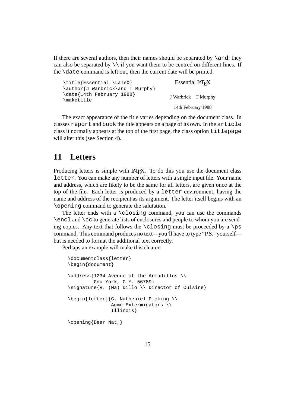If there are several authors, then their names should be separated by  $\lambda$  and; they can also be separated by  $\setminus$  if you want them to be centred on different lines. If the \date command is left out, then the current date will be printed.

| \title{Essential \LaTeX}                | Essential LAT <sub>EX</sub> |  |
|-----------------------------------------|-----------------------------|--|
| \author{J Warbrick\and T Murphy}        |                             |  |
| \date{14th February 1988}<br>\maketitle | J Warbrick T Murphy         |  |
|                                         | 14th February 1988          |  |

The exact appearance of the title varies depending on the document class. In classes report and book the title appears on a page of its own. In the article class it normally appears at the top of the first page, the class option titlepage will alter this (see Section 4).

### **11 Letters**

Producing letters is simple with LATEX. To do this you use the document class letter. You can make any number of letters with a single input file. Your name and address, which are likely to be the same for all letters, are given once at the top of the file. Each letter is produced by a letter environment, having the name and address of the recipient as its argument. The letter itself begins with an \opening command to generate the salutation.

The letter ends with a  $\clap{\text{colosing command}, you can use the commands$  $\en{end}$  and  $\cc$  to generate lists of enclosures and people to whom you are sending copies. Any text that follows the  $\clap{\csc \cosh}$  must be proceeded by a  $\ps$ command. This command produces no text—you'll have to type "P.S." yourself but is needed to format the additional text correctly.

Perhaps an example will make this clearer:

```
\documentclass{letter}
\begin{document}
\address{1234 Avenue of the Armadillos \\
         Gnu York, G.Y. 56789}
\signature{R. (Ma) Dillo \\ Director of Cuisine}
\begin{letter}{G. Natheniel Picking \\
               Acme Exterminators \\
               Illinois}
\opening{Dear Nat,}
```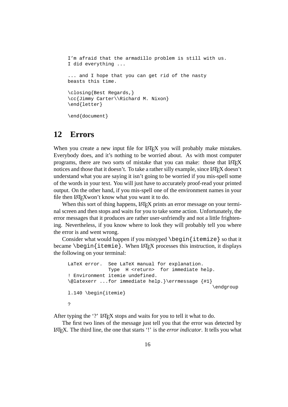```
I'm afraid that the armadillo problem is still with us.
I did everything ...
... and I hope that you can get rid of the nasty
beasts this time.
\closing{Best Regards,}
\cc{Jimmy Carter\\Richard M. Nixon}
\end{letter}
\end{document}
```
### **12 Errors**

When you create a new input file for LATEX you will probably make mistakes. Everybody does, and it's nothing to be worried about. As with most computer programs, there are two sorts of mistake that you can make: those that LATEX notices and those that it doesn't. To take a rather silly example, since LAT<sub>E</sub>X doesn't understand what you are saying it isn't going to be worried if you mis-spell some of the words in your text. You will just have to accurately proof-read your printed output. On the other hand, if you mis-spell one of the environment names in your file then LAT<sub>E</sub>Xwon't know what you want it to do.

When this sort of thing happens, LAT<sub>EX</sub> prints an error message on your terminal screen and then stops and waits for you to take some action. Unfortunately, the error messages that it produces are rather user-unfriendly and not a little frightening. Nevertheless, if you know where to look they will probably tell you where the error is and went wrong.

Consider what would happen if you mistyped  $\begin{array}{c} i \text{ i } t \in \mathbb{Z} \end{array}$  so that it became  $\begin{array}{c}$  begin{itemie}. When LAT<sub>EX</sub> processes this instruction, it displays the following on your terminal:

```
LaTeX error. See LaTeX manual for explanation.
             Type H <return> for immediate help.
! Environment itemie undefined.
\@latexerr ...for immediate help.}\errmessage {#1}
                                                  \endgroup
l.140 \begin{itemie}
?
```
After typing the '?' LAT<sub>EX</sub> stops and waits for you to tell it what to do.

The first two lines of the message just tell you that the error was detected by LATEX. The third line, the one that starts '!' is the *error indicator*. It tells you what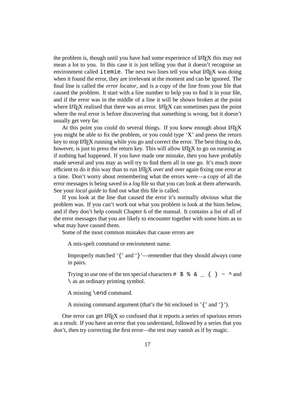the problem is, though until you have had some experience of LATEX this may not mean a lot to you. In this case it is just telling you that it doesn't recognise an environment called itemie. The next two lines tell you what LAT<sub>EX</sub> was doing when it found the error, they are irrelevant at the moment and can be ignored. The final line is called the *error locator*, and is a copy of the line from your file that caused the problem. It start with a line number to help you to find it in your file, and if the error was in the middle of a line it will be shown broken at the point where LAT<sub>EX</sub> realised that there was an error. LAT<sub>EX</sub> can sometimes pass the point where the real error is before discovering that something is wrong, but it doesn't usually get very far.

At this point you could do several things. If you knew enough about LATEX you might be able to fix the problem, or you could type 'X' and press the return key to stop LATEX running while you go and correct the error. The best thing to do, however, is just to press the return key. This will allow  $\mathbb{E}E[X]$  to go on running as if nothing had happened. If you have made one mistake, then you have probably made several and you may as well try to find them all in one go. It's much more efficient to do it this way than to run LAT<sub>EX</sub> over and over again fixing one error at a time. Don't worry about remembering what the errors were—a copy of all the error messages is being saved in a *log* file so that you can look at them afterwards. See your *local guide* to find out what this file is called.

If you look at the line that caused the error it's normally obvious what the problem was. If you can't work out what you problem is look at the hints below, and if they don't help consult Chapter 6 of the manual. It contains a list of all of the error messages that you are likely to encounter together with some hints as to what may have caused them.

Some of the most common mistakes that cause errors are

A mis-spelt command or environment name.

Improperly matched '{' and '}'—remember that they should always come in pairs.

Trying to use one of the ten special characters  $\sharp$   $\sharp$   $\sharp$   $\sharp$   $\in$   $\setminus$   $\setminus$   $\to$   $\land$  and \ as an ordinary printing symbol.

A missing \end command.

A missing command argument (that's the bit enclosed in '{' and '}').

One error can get LATEX so confused that it reports a series of spurious errors as a result. If you have an error that you understand, followed by a series that you don't, then try correcting the first error—the rest may vanish as if by magic.